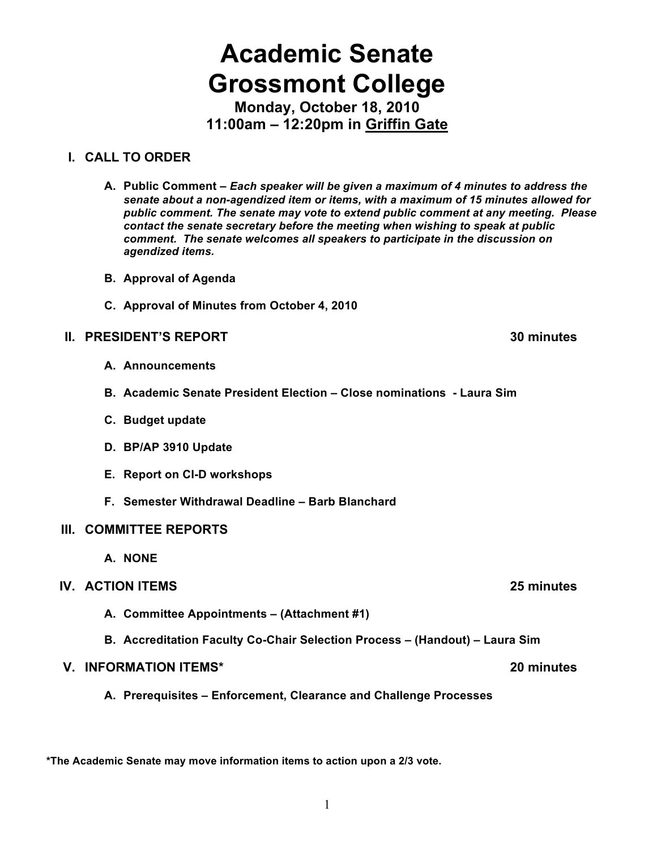# **Academic Senate Grossmont College**

**Monday, October 18, 2010 11:00am – 12:20pm in Griffin Gate**

## **I. CALL TO ORDER**

- **A. Public Comment –** *Each speaker will be given a maximum of 4 minutes to address the senate about a non-agendized item or items, with a maximum of 15 minutes allowed for public comment. The senate may vote to extend public comment at any meeting. Please contact the senate secretary before the meeting when wishing to speak at public comment. The senate welcomes all speakers to participate in the discussion on agendized items.*
- **B. Approval of Agenda**
- **C. Approval of Minutes from October 4, 2010**

## **II. PRESIDENT'S REPORT 30 minutes**

- **A. Announcements**
- **B. Academic Senate President Election Close nominations Laura Sim**
- **C. Budget update**
- **D. BP/AP 3910 Update**
- **E. Report on CI-D workshops**
- **F. Semester Withdrawal Deadline Barb Blanchard**

## **III. COMMITTEE REPORTS**

**A. NONE**

## **IV. ACTION ITEMS 25 minutes**

- **A. Committee Appointments (Attachment #1)**
- **B. Accreditation Faculty Co-Chair Selection Process (Handout) Laura Sim**

## **V. INFORMATION ITEMS\* 20 minutes**

**A. Prerequisites – Enforcement, Clearance and Challenge Processes**

**\*The Academic Senate may move information items to action upon a 2/3 vote.**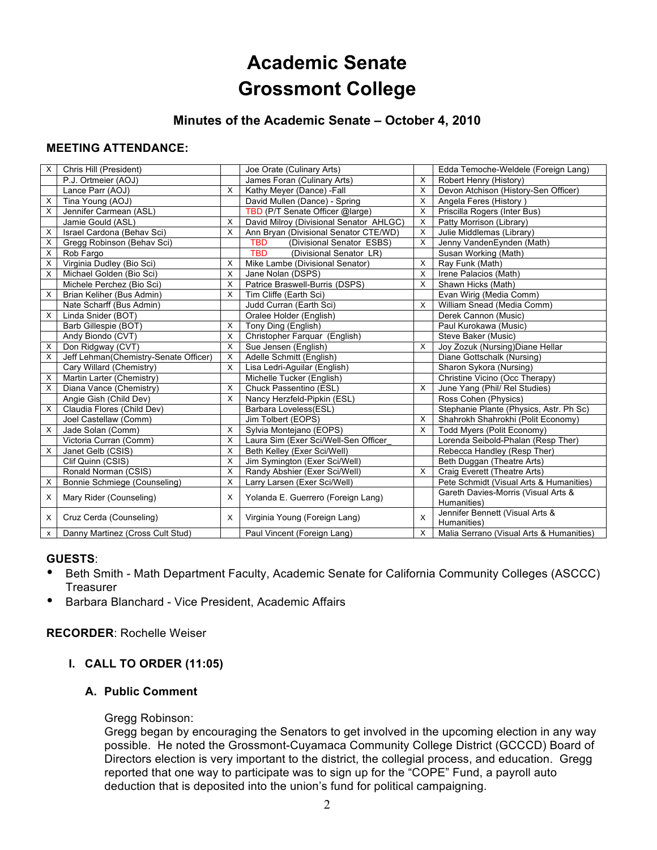## **Academic Senate Grossmont College**

## **Minutes of the Academic Senate – October 4, 2010**

#### **MEETING ATTENDANCE:**

| X        | Chris Hill (President)                |          | Joe Orate (Culinary Arts)               |   | Edda Temoche-Weldele (Foreign Lang)                |
|----------|---------------------------------------|----------|-----------------------------------------|---|----------------------------------------------------|
|          | P.J. Ortmeier (AOJ)                   |          | James Foran (Culinary Arts)             | X | Robert Henry (History)                             |
|          | Lance Parr (AOJ)                      | $\times$ | Kathy Meyer (Dance) -Fall               | X | Devon Atchison (History-Sen Officer)               |
| X        | Tina Young (AOJ)                      |          | David Mullen (Dance) - Spring           | X | Angela Feres (History)                             |
| X        | Jennifer Carmean (ASL)                |          | TBD (P/T Senate Officer @large)         | X | Priscilla Rogers (Inter Bus)                       |
|          | Jamie Gould (ASL)                     | X        | David Milroy (Divisional Senator AHLGC) | X | Patty Morrison (Library)                           |
| X        | Israel Cardona (Behav Sci)            | X        | Ann Bryan (Divisional Senator CTE/WD)   | X | Julie Middlemas (Library)                          |
| X        | Gregg Robinson (Behav Sci)            |          | <b>TBD</b><br>(Divisional Senator ESBS) | X | Jenny VandenEynden (Math)                          |
| X        | Rob Fargo                             |          | <b>TBD</b><br>(Divisional Senator LR)   |   | Susan Working (Math)                               |
| X        | Virginia Dudley (Bio Sci)             | X        | Mike Lambe (Divisional Senator)         | X | Ray Funk (Math)                                    |
| X        | Michael Golden (Bio Sci)              | X        | Jane Nolan (DSPS)                       | X | Irene Palacios (Math)                              |
|          | Michele Perchez (Bio Sci)             | X        | Patrice Braswell-Burris (DSPS)          | X | Shawn Hicks (Math)                                 |
| X        | Brian Keliher (Bus Admin)             | $\times$ | Tim Cliffe (Earth Sci)                  |   | Evan Wirig (Media Comm)                            |
|          | Nate Scharff (Bus Admin)              |          | Judd Curran (Earth Sci)                 | X | William Snead (Media Comm)                         |
| $\times$ | Linda Snider (BOT)                    |          | Oralee Holder (English)                 |   | Derek Cannon (Music)                               |
|          | Barb Gillespie (BOT)                  | X        | Tony Ding (English)                     |   | Paul Kurokawa (Music)                              |
|          | Andy Biondo (CVT)                     | X        | Christopher Farquar (English)           |   | Steve Baker (Music)                                |
| X        | Don Ridgway (CVT)                     | X        | Sue Jensen (English)                    | X | Joy Zozuk (Nursing) Diane Hellar                   |
| X        | Jeff Lehman(Chemistry-Senate Officer) | X        | Adelle Schmitt (English)                |   | Diane Gottschalk (Nursing)                         |
|          | Cary Willard (Chemistry)              | $\times$ | Lisa Ledri-Aguilar (English)            |   | Sharon Sykora (Nursing)                            |
| Χ        | Martin Larter (Chemistry)             |          | Michelle Tucker (English)               |   | Christine Vicino (Occ Therapy)                     |
| X        | Diana Vance (Chemistry)               | X        | Chuck Passentino (ESL)                  | X | June Yang (Phil/ Rel Studies)                      |
|          | Angie Gish (Child Dev)                | X        | Nancy Herzfeld-Pipkin (ESL)             |   | Ross Cohen (Physics)                               |
| X        | Claudia Flores (Child Dev)            |          | Barbara Loveless(ESL)                   |   | Stephanie Plante (Physics, Astr. Ph Sc)            |
|          | Joel Castellaw (Comm)                 |          | Jim Tolbert (EOPS)                      | X | Shahrokh Shahrokhi (Polit Economy)                 |
| X        | Jade Solan (Comm)                     | $\times$ | Sylvia Montejano (EOPS)                 | X | Todd Myers (Polit Economy)                         |
|          | Victoria Curran (Comm)                | X        | Laura Sim (Exer Sci/Well-Sen Officer    |   | Lorenda Seibold-Phalan (Resp Ther)                 |
| X        | Janet Gelb (CSIS)                     | X        | Beth Kelley (Exer Sci/Well)             |   | Rebecca Handley (Resp Ther)                        |
|          | Clif Quinn (CSIS)                     | X        | Jim Symington (Exer Sci/Well)           |   | Beth Duggan (Theatre Arts)                         |
|          | Ronald Norman (CSIS)                  | $\times$ | Randy Abshier (Exer Sci/Well)           | X | Craig Everett (Theatre Arts)                       |
| Χ        | Bonnie Schmiege (Counseling)          | X        | Larry Larsen (Exer Sci/Well)            |   | Pete Schmidt (Visual Arts & Humanities)            |
| X        | Mary Rider (Counseling)               | $\times$ | Yolanda E. Guerrero (Foreign Lang)      |   | Gareth Davies-Morris (Visual Arts &<br>Humanities) |
| X        | Cruz Cerda (Counseling)               | $\times$ | Virginia Young (Foreign Lang)           | X | Jennifer Bennett (Visual Arts &<br>Humanities)     |
| x        | Danny Martinez (Cross Cult Stud)      |          | Paul Vincent (Foreign Lang)             | X | Malia Serrano (Visual Arts & Humanities)           |

#### **GUESTS**:

- Beth Smith Math Department Faculty, Academic Senate for California Community Colleges (ASCCC) **Treasurer**
- Barbara Blanchard Vice President, Academic Affairs

#### **RECORDER**: Rochelle Weiser

#### **I. CALL TO ORDER (11:05)**

#### **A. Public Comment**

#### Gregg Robinson:

Gregg began by encouraging the Senators to get involved in the upcoming election in any way possible. He noted the Grossmont-Cuyamaca Community College District (GCCCD) Board of Directors election is very important to the district, the collegial process, and education. Gregg reported that one way to participate was to sign up for the "COPE" Fund, a payroll auto deduction that is deposited into the union's fund for political campaigning.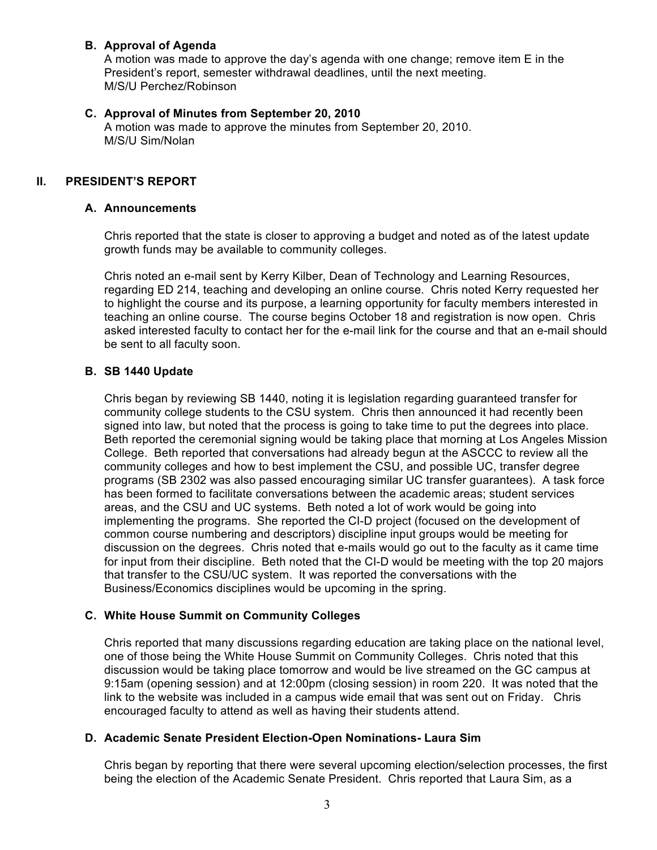#### **B. Approval of Agenda**

A motion was made to approve the day's agenda with one change; remove item E in the President's report, semester withdrawal deadlines, until the next meeting. M/S/U Perchez/Robinson

#### **C. Approval of Minutes from September 20, 2010**

A motion was made to approve the minutes from September 20, 2010. M/S/U Sim/Nolan

#### **II. PRESIDENT'S REPORT**

#### **A. Announcements**

Chris reported that the state is closer to approving a budget and noted as of the latest update growth funds may be available to community colleges.

Chris noted an e-mail sent by Kerry Kilber, Dean of Technology and Learning Resources, regarding ED 214, teaching and developing an online course. Chris noted Kerry requested her to highlight the course and its purpose, a learning opportunity for faculty members interested in teaching an online course. The course begins October 18 and registration is now open. Chris asked interested faculty to contact her for the e-mail link for the course and that an e-mail should be sent to all faculty soon.

#### **B. SB 1440 Update**

Chris began by reviewing SB 1440, noting it is legislation regarding guaranteed transfer for community college students to the CSU system. Chris then announced it had recently been signed into law, but noted that the process is going to take time to put the degrees into place. Beth reported the ceremonial signing would be taking place that morning at Los Angeles Mission College. Beth reported that conversations had already begun at the ASCCC to review all the community colleges and how to best implement the CSU, and possible UC, transfer degree programs (SB 2302 was also passed encouraging similar UC transfer guarantees). A task force has been formed to facilitate conversations between the academic areas; student services areas, and the CSU and UC systems. Beth noted a lot of work would be going into implementing the programs. She reported the CI-D project (focused on the development of common course numbering and descriptors) discipline input groups would be meeting for discussion on the degrees. Chris noted that e-mails would go out to the faculty as it came time for input from their discipline. Beth noted that the CI-D would be meeting with the top 20 majors that transfer to the CSU/UC system. It was reported the conversations with the Business/Economics disciplines would be upcoming in the spring.

#### **C. White House Summit on Community Colleges**

Chris reported that many discussions regarding education are taking place on the national level, one of those being the White House Summit on Community Colleges. Chris noted that this discussion would be taking place tomorrow and would be live streamed on the GC campus at 9:15am (opening session) and at 12:00pm (closing session) in room 220. It was noted that the link to the website was included in a campus wide email that was sent out on Friday. Chris encouraged faculty to attend as well as having their students attend.

#### **D. Academic Senate President Election-Open Nominations- Laura Sim**

Chris began by reporting that there were several upcoming election/selection processes, the first being the election of the Academic Senate President. Chris reported that Laura Sim, as a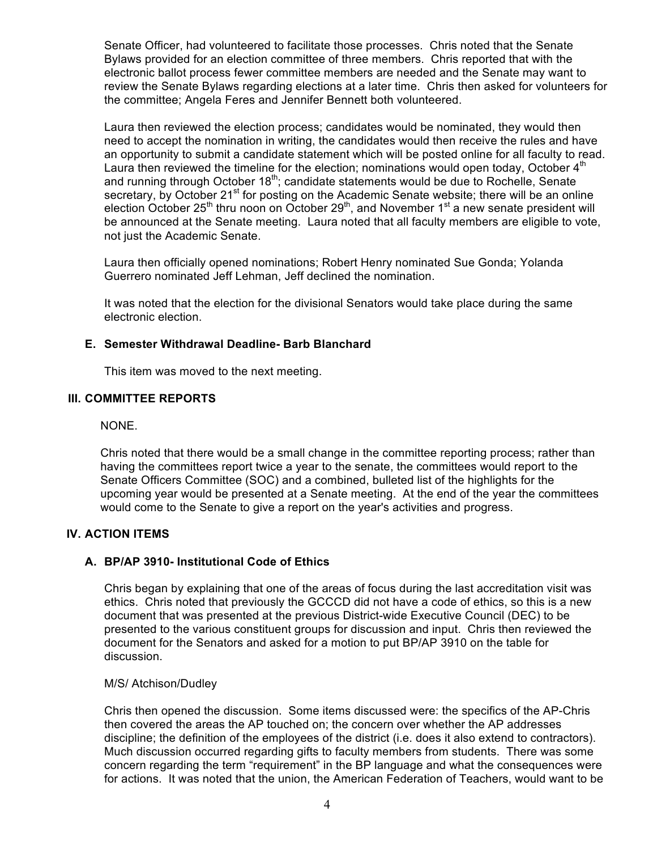Senate Officer, had volunteered to facilitate those processes. Chris noted that the Senate Bylaws provided for an election committee of three members. Chris reported that with the electronic ballot process fewer committee members are needed and the Senate may want to review the Senate Bylaws regarding elections at a later time. Chris then asked for volunteers for the committee; Angela Feres and Jennifer Bennett both volunteered.

Laura then reviewed the election process; candidates would be nominated, they would then need to accept the nomination in writing, the candidates would then receive the rules and have an opportunity to submit a candidate statement which will be posted online for all faculty to read. Laura then reviewed the timeline for the election; nominations would open today, October  $4<sup>th</sup>$ and running through October 18<sup>th</sup>; candidate statements would be due to Rochelle, Senate secretary, by October 21<sup>st</sup> for posting on the Academic Senate website; there will be an online election October 25<sup>th</sup> thru noon on October 29<sup>th</sup>, and November 1<sup>st</sup> a new senate president will be announced at the Senate meeting. Laura noted that all faculty members are eligible to vote, not just the Academic Senate.

Laura then officially opened nominations; Robert Henry nominated Sue Gonda; Yolanda Guerrero nominated Jeff Lehman, Jeff declined the nomination.

It was noted that the election for the divisional Senators would take place during the same electronic election.

#### **E. Semester Withdrawal Deadline- Barb Blanchard**

This item was moved to the next meeting.

#### **III. COMMITTEE REPORTS**

#### NONE.

Chris noted that there would be a small change in the committee reporting process; rather than having the committees report twice a year to the senate, the committees would report to the Senate Officers Committee (SOC) and a combined, bulleted list of the highlights for the upcoming year would be presented at a Senate meeting. At the end of the year the committees would come to the Senate to give a report on the year's activities and progress.

#### **IV. ACTION ITEMS**

#### **A. BP/AP 3910- Institutional Code of Ethics**

Chris began by explaining that one of the areas of focus during the last accreditation visit was ethics. Chris noted that previously the GCCCD did not have a code of ethics, so this is a new document that was presented at the previous District-wide Executive Council (DEC) to be presented to the various constituent groups for discussion and input. Chris then reviewed the document for the Senators and asked for a motion to put BP/AP 3910 on the table for discussion.

#### M/S/ Atchison/Dudley

Chris then opened the discussion. Some items discussed were: the specifics of the AP-Chris then covered the areas the AP touched on; the concern over whether the AP addresses discipline; the definition of the employees of the district (i.e. does it also extend to contractors). Much discussion occurred regarding gifts to faculty members from students. There was some concern regarding the term "requirement" in the BP language and what the consequences were for actions. It was noted that the union, the American Federation of Teachers, would want to be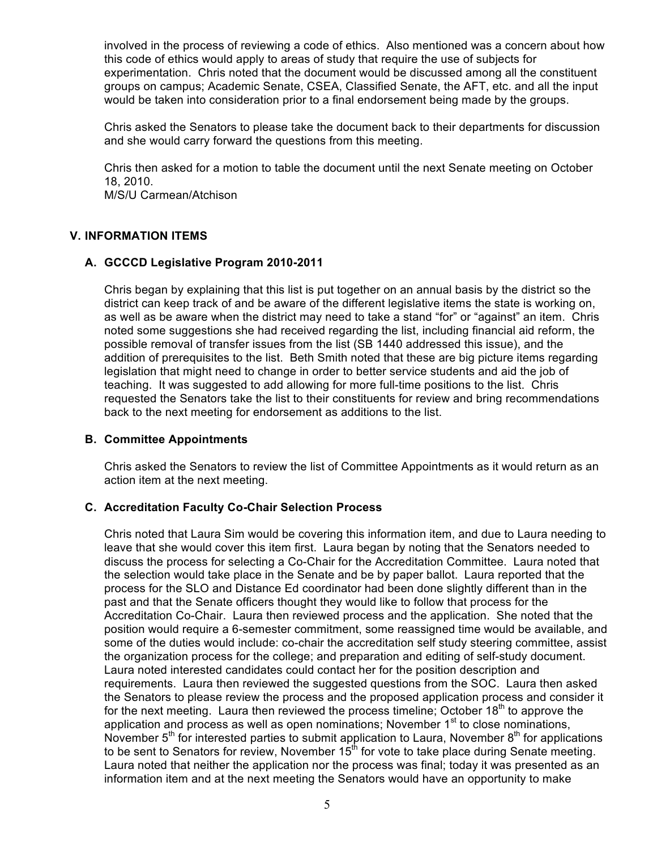involved in the process of reviewing a code of ethics. Also mentioned was a concern about how this code of ethics would apply to areas of study that require the use of subjects for experimentation. Chris noted that the document would be discussed among all the constituent groups on campus; Academic Senate, CSEA, Classified Senate, the AFT, etc. and all the input would be taken into consideration prior to a final endorsement being made by the groups.

Chris asked the Senators to please take the document back to their departments for discussion and she would carry forward the questions from this meeting.

Chris then asked for a motion to table the document until the next Senate meeting on October 18, 2010. M/S/U Carmean/Atchison

#### **V. INFORMATION ITEMS**

#### **A. GCCCD Legislative Program 2010-2011**

Chris began by explaining that this list is put together on an annual basis by the district so the district can keep track of and be aware of the different legislative items the state is working on, as well as be aware when the district may need to take a stand "for" or "against" an item. Chris noted some suggestions she had received regarding the list, including financial aid reform, the possible removal of transfer issues from the list (SB 1440 addressed this issue), and the addition of prerequisites to the list. Beth Smith noted that these are big picture items regarding legislation that might need to change in order to better service students and aid the job of teaching. It was suggested to add allowing for more full-time positions to the list. Chris requested the Senators take the list to their constituents for review and bring recommendations back to the next meeting for endorsement as additions to the list.

#### **B. Committee Appointments**

Chris asked the Senators to review the list of Committee Appointments as it would return as an action item at the next meeting.

#### **C. Accreditation Faculty Co-Chair Selection Process**

Chris noted that Laura Sim would be covering this information item, and due to Laura needing to leave that she would cover this item first. Laura began by noting that the Senators needed to discuss the process for selecting a Co-Chair for the Accreditation Committee. Laura noted that the selection would take place in the Senate and be by paper ballot. Laura reported that the process for the SLO and Distance Ed coordinator had been done slightly different than in the past and that the Senate officers thought they would like to follow that process for the Accreditation Co-Chair. Laura then reviewed process and the application. She noted that the position would require a 6-semester commitment, some reassigned time would be available, and some of the duties would include: co-chair the accreditation self study steering committee, assist the organization process for the college; and preparation and editing of self-study document. Laura noted interested candidates could contact her for the position description and requirements. Laura then reviewed the suggested questions from the SOC. Laura then asked the Senators to please review the process and the proposed application process and consider it for the next meeting. Laura then reviewed the process timeline; October  $18<sup>th</sup>$  to approve the application and process as well as open nominations; November  $1<sup>st</sup>$  to close nominations, November  $5<sup>th</sup>$  for interested parties to submit application to Laura, November  $8<sup>th</sup>$  for applications to be sent to Senators for review. November 15<sup>th</sup> for vote to take place during Senate meeting. Laura noted that neither the application nor the process was final; today it was presented as an information item and at the next meeting the Senators would have an opportunity to make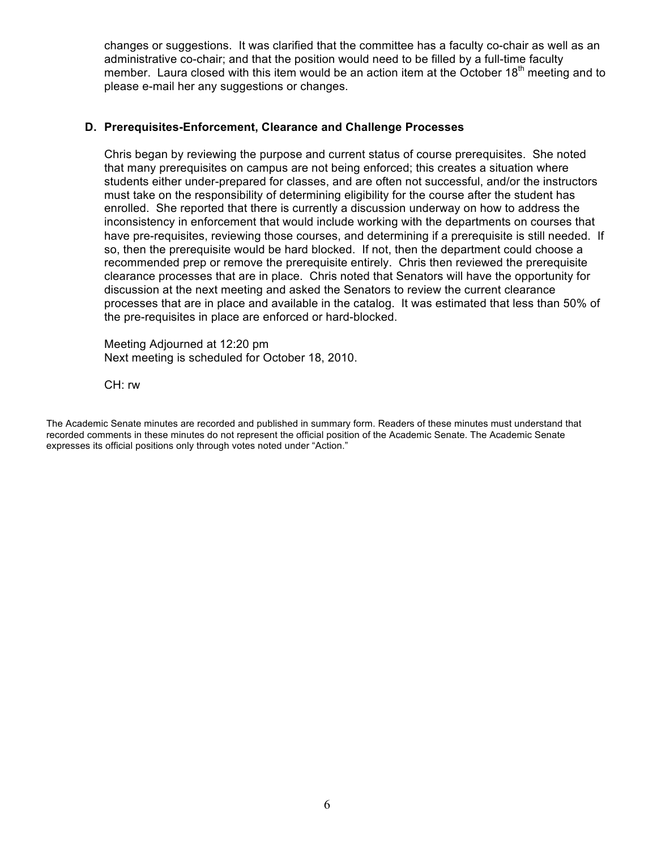changes or suggestions. It was clarified that the committee has a faculty co-chair as well as an administrative co-chair; and that the position would need to be filled by a full-time faculty member. Laura closed with this item would be an action item at the October  $18<sup>th</sup>$  meeting and to please e-mail her any suggestions or changes.

#### **D. Prerequisites-Enforcement, Clearance and Challenge Processes**

Chris began by reviewing the purpose and current status of course prerequisites. She noted that many prerequisites on campus are not being enforced; this creates a situation where students either under-prepared for classes, and are often not successful, and/or the instructors must take on the responsibility of determining eligibility for the course after the student has enrolled. She reported that there is currently a discussion underway on how to address the inconsistency in enforcement that would include working with the departments on courses that have pre-requisites, reviewing those courses, and determining if a prerequisite is still needed. If so, then the prerequisite would be hard blocked. If not, then the department could choose a recommended prep or remove the prerequisite entirely. Chris then reviewed the prerequisite clearance processes that are in place. Chris noted that Senators will have the opportunity for discussion at the next meeting and asked the Senators to review the current clearance processes that are in place and available in the catalog. It was estimated that less than 50% of the pre-requisites in place are enforced or hard-blocked.

Meeting Adjourned at 12:20 pm Next meeting is scheduled for October 18, 2010.

CH: rw

The Academic Senate minutes are recorded and published in summary form. Readers of these minutes must understand that recorded comments in these minutes do not represent the official position of the Academic Senate. The Academic Senate expresses its official positions only through votes noted under "Action."